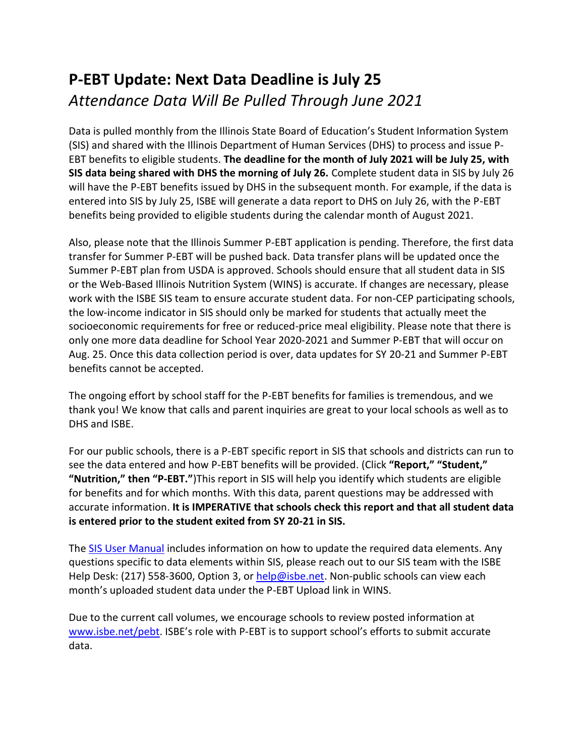## **P-EBT Update: Next Data Deadline is July 25**  *Attendance Data Will Be Pulled Through June 2021*

Data is pulled monthly from the Illinois State Board of Education's Student Information System (SIS) and shared with the Illinois Department of Human Services (DHS) to process and issue P-EBT benefits to eligible students. **The deadline for the month of July 2021 will be July 25, with SIS data being shared with DHS the morning of July 26.** Complete student data in SIS by July 26 will have the P-EBT benefits issued by DHS in the subsequent month. For example, if the data is entered into SIS by July 25, ISBE will generate a data report to DHS on July 26, with the P-EBT benefits being provided to eligible students during the calendar month of August 2021.

Also, please note that the Illinois Summer P-EBT application is pending. Therefore, the first data transfer for Summer P-EBT will be pushed back. Data transfer plans will be updated once the Summer P-EBT plan from USDA is approved. Schools should ensure that all student data in SIS or the Web-Based Illinois Nutrition System (WINS) is accurate. If changes are necessary, please work with the ISBE SIS team to ensure accurate student data. For non-CEP participating schools, the low-income indicator in SIS should only be marked for students that actually meet the socioeconomic requirements for free or reduced-price meal eligibility. Please note that there is only one more data deadline for School Year 2020-2021 and Summer P-EBT that will occur on Aug. 25. Once this data collection period is over, data updates for SY 20-21 and Summer P-EBT benefits cannot be accepted.

The ongoing effort by school staff for the P-EBT benefits for families is tremendous, and we thank you! We know that calls and parent inquiries are great to your local schools as well as to DHS and ISBE.

For our public schools, there is a P-EBT specific report in SIS that schools and districts can run to see the data entered and how P-EBT benefits will be provided. (Click **"Report," "Student," "Nutrition," then "P-EBT."**)This report in SIS will help you identify which students are eligible for benefits and for which months. With this data, parent questions may be addressed with accurate information. **It is IMPERATIVE that schools check this report and that all student data is entered prior to the student exited from SY 20-21 in SIS.**

The **SIS User Manual** includes information on how to update the required data elements. Any questions specific to data elements within SIS, please reach out to our SIS team with the ISBE Help Desk: (217) 558-3600, Option 3, or [help@isbe.net.](mailto:help@isbe.net) Non-public schools can view each month's uploaded student data under the P-EBT Upload link in WINS.

Due to the current call volumes, we encourage schools to review posted information at [www.isbe.net/pebt](http://www.isbe.net/pebt). ISBE's role with P-EBT is to support school's efforts to submit accurate data.